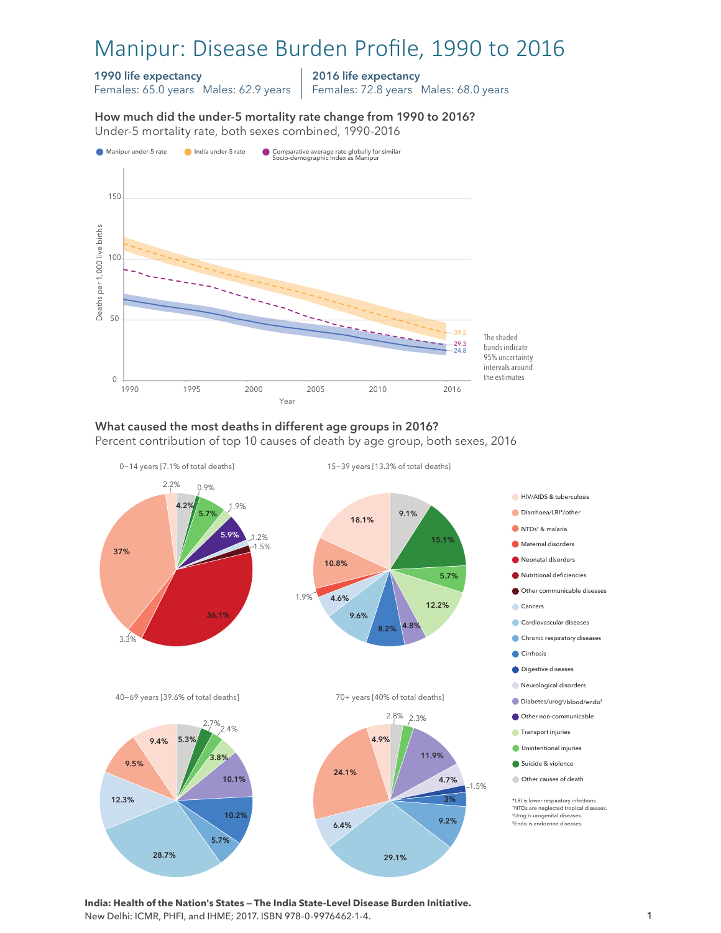# Manipur: Disease Burden Profile, 1990 to 2016

#### 1990 life expectancy

Females: 65.0 years Males: 62.9 years

2016 life expectancy

Females: 72.8 years Males: 68.0 years

How much did the under-5 mortality rate change from 1990 to 2016?





#### What caused the most deaths in different age groups in 2016?

Percent contribution of top 10 causes of death by age group, both sexes, 2016



**India: Health of the Nation's States — The India State-Level Disease Burden Initiative.**  New Delhi: ICMR, PHFI, and IHME; 2017. ISBN 978-0-9976462-1-4.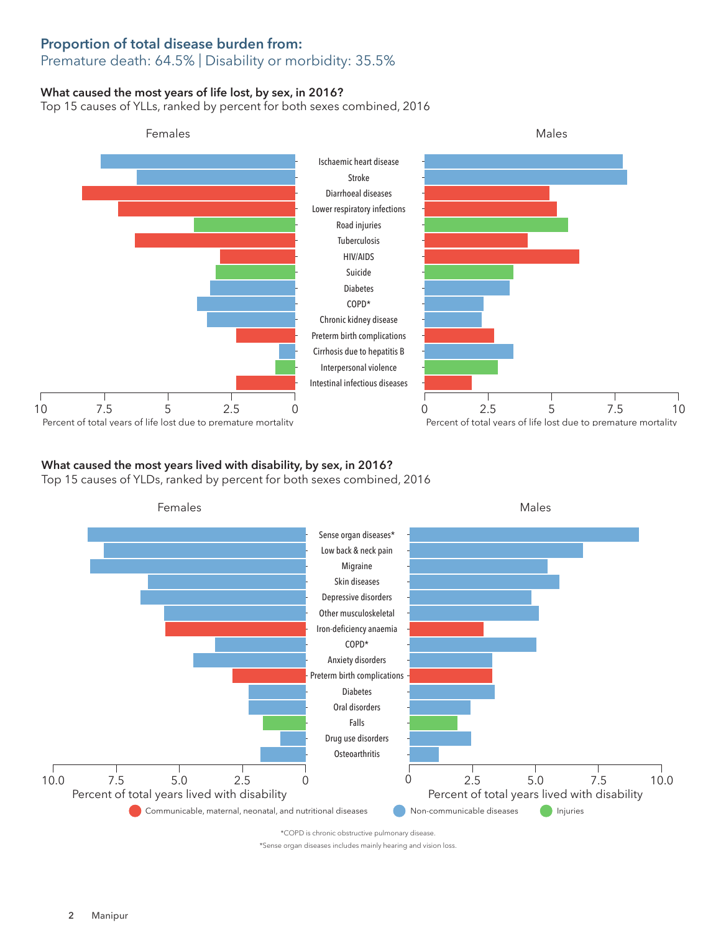### Proportion of total disease burden from:

### Premature death: 64.5% | Disability or morbidity: 35.5%

#### What caused the most years of life lost, by sex, in 2016?

Top 15 causes of YLLs, ranked by percent for both sexes combined, 2016



## What caused the most years lived with disability, by sex, in 2016?

Top 15 causes of YLDs, ranked by percent for both sexes combined, 2016



\*COPD is chronic obstructive pulmonary disease.

\*Sense organ diseases includes mainly hearing and vision loss.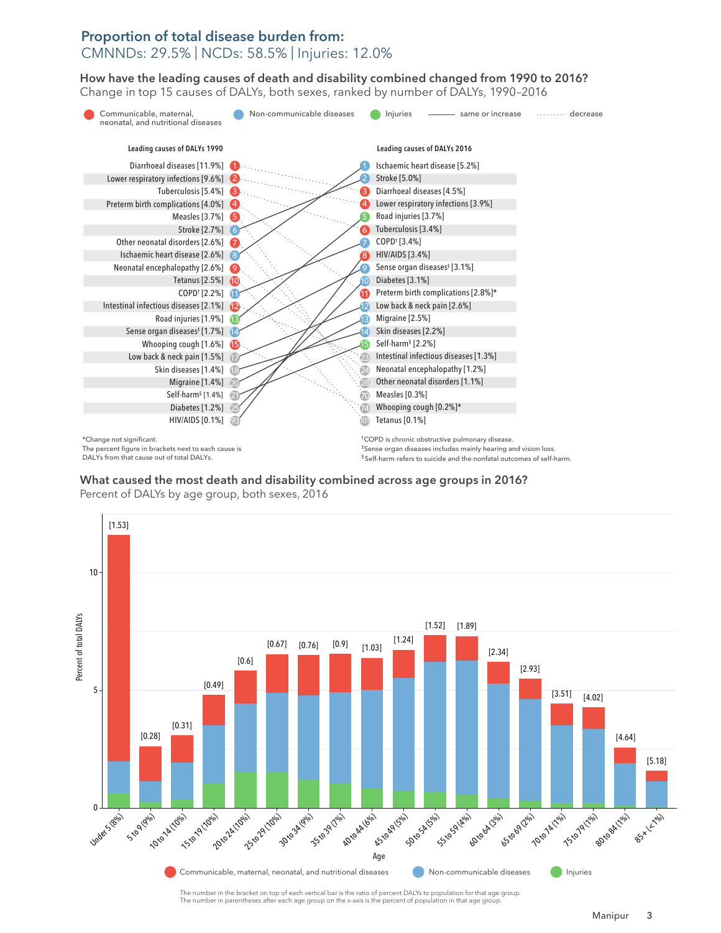#### Proportion of total disease burden from: CMNNDs: 29.5% | NCDs: 58.5% | Injuries: 12.0%

How have the leading causes of death and disability combined changed from 1990 to 2016? How have the leading causes of death and disability combined changed from 1990 to 2016? Change in top 15 causes of DALYs, both sexes, ranked by number of DALYs, 1990–2016 Change in top 15 causes of DALYs, both sexes, ranked by number of DALYs, 1990–2016



What caused the most death and disability combined across age groups in 2016? The most disability combined across age groups in 2016? What caused the most death and disability combined across age groups in 2016?<br>-Percent of DALYs by age group, both sexes, 2016



The number in the bracket on top of each vertical bar is the ratio of percent DALYs to population for that age group. The number in parentheses after each age group on the x-axis is the percent of population in that age group.